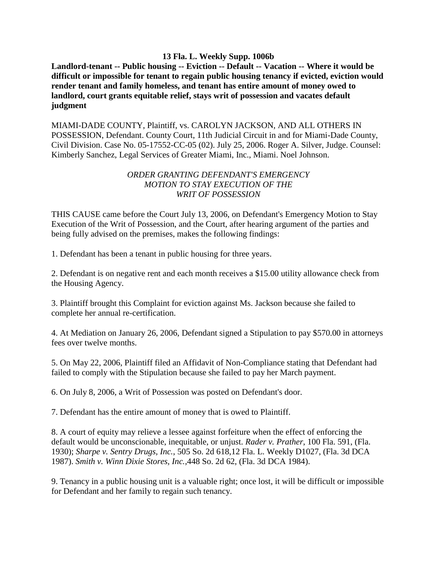## **13 Fla. L. Weekly Supp. 1006b**

**Landlord-tenant -- Public housing -- Eviction -- Default -- Vacation -- Where it would be difficult or impossible for tenant to regain public housing tenancy if evicted, eviction would render tenant and family homeless, and tenant has entire amount of money owed to landlord, court grants equitable relief, stays writ of possession and vacates default judgment**

MIAMI-DADE COUNTY, Plaintiff, vs. CAROLYN JACKSON, AND ALL OTHERS IN POSSESSION, Defendant. County Court, 11th Judicial Circuit in and for Miami-Dade County, Civil Division. Case No. 05-17552-CC-05 (02). July 25, 2006. Roger A. Silver, Judge. Counsel: Kimberly Sanchez, Legal Services of Greater Miami, Inc., Miami. Noel Johnson.

## *ORDER GRANTING DEFENDANT'S EMERGENCY MOTION TO STAY EXECUTION OF THE WRIT OF POSSESSION*

THIS CAUSE came before the Court July 13, 2006, on Defendant's Emergency Motion to Stay Execution of the Writ of Possession, and the Court, after hearing argument of the parties and being fully advised on the premises, makes the following findings:

1. Defendant has been a tenant in public housing for three years.

2. Defendant is on negative rent and each month receives a \$15.00 utility allowance check from the Housing Agency.

3. Plaintiff brought this Complaint for eviction against Ms. Jackson because she failed to complete her annual re-certification.

4. At Mediation on January 26, 2006, Defendant signed a Stipulation to pay \$570.00 in attorneys fees over twelve months.

5. On May 22, 2006, Plaintiff filed an Affidavit of Non-Compliance stating that Defendant had failed to comply with the Stipulation because she failed to pay her March payment.

6. On July 8, 2006, a Writ of Possession was posted on Defendant's door.

7. Defendant has the entire amount of money that is owed to Plaintiff.

8. A court of equity may relieve a lessee against forfeiture when the effect of enforcing the default would be unconscionable, inequitable, or unjust. *Rader v. Prather*, 100 Fla. 591, (Fla. 1930); *Sharpe v. Sentry Drugs, Inc.*, 505 So. 2d 618,12 Fla. L. Weekly D1027, (Fla. 3d DCA 1987). *Smith v. Winn Dixie Stores, Inc.*,448 So. 2d 62, (Fla. 3d DCA 1984).

9. Tenancy in a public housing unit is a valuable right; once lost, it will be difficult or impossible for Defendant and her family to regain such tenancy.